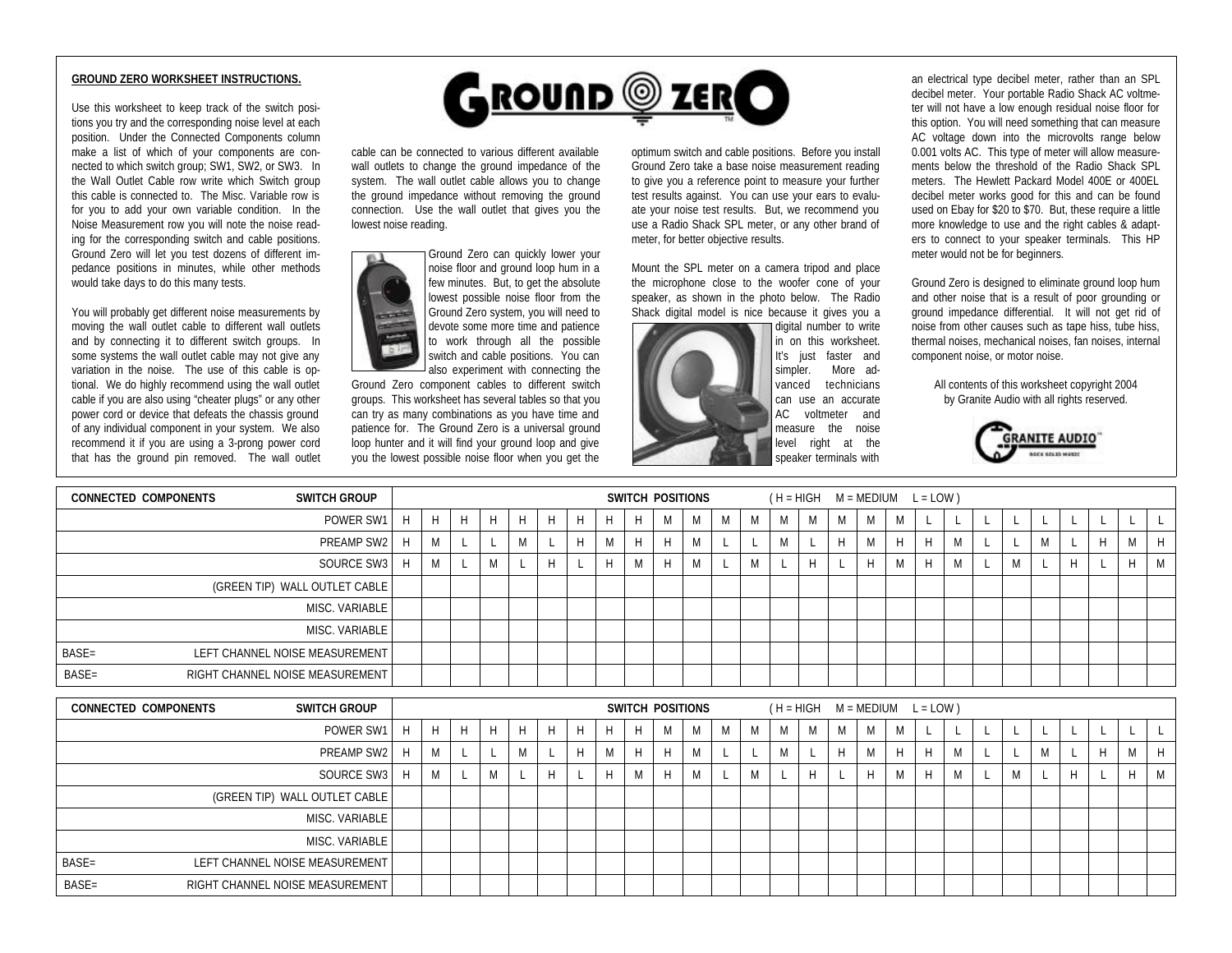## **GROUND ZERO WORKSHEET INSTRUCTIONS.**

Use this worksheet to keep track of the switch positions you try and the corresponding noise level at each position. Under the Connected Components column make a list of which of your components are connected to which switch group; SW1, SW2, or SW3. In the Wall Outlet Cable row write which Switch group this cable is connected to. The Misc. Variable row is for you to add your own variable condition. In the Noise Measurement row you will note the noise reading for the corresponding switch and cable positions. Ground Zero will let you test dozens of different impedance positions in minutes, while other methods would take days to do this many tests.

You will probably get different noise measurements by moving the wall outlet cable to different wall outlets and by connecting it to different switch groups. In some systems the wall outlet cable may not give any variation in the noise. The use of this cable is optional. We do highly recommend using the wall outlet cable if you are also using "cheater plugs" or any other power cord or device that defeats the chassis ground of any individual component in your system. We also recommend it if you are using a 3-prong power cord that has the ground pin removed. The wall outlet



cable can be connected to various different available wall outlets to change the ground impedance of the system. The wall outlet cable allows you to change the ground impedance without removing the ground connection. Use the wall outlet that gives you the lowest noise reading.



devote some more time and patience to work through all the possible switch and cable positions. You can also experiment with connecting the Ground Zero component cables to different switch groups. This worksheet has several tables so that you can try as many combinations as you have time and

patience for. The Ground Zero is a universal ground loop hunter and it will find your ground loop and give you the lowest possible noise floor when you get the optimum switch and cable positions. Before you install Ground Zero take a base noise measurement reading to give you a reference point to measure your further test results against. You can use your ears to evaluate your noise test results. But, we recommend you use a Radio Shack SPL meter, or any other brand of meter, for better objective results.

Mount the SPL meter on a camera tripod and place the microphone close to the woofer cone of your speaker, as shown in the photo below. The Radio Shack digital model is nice because it gives you a



digital number to write in on this worksheet. It's just faster and simpler. More advanced technicians can use an accurate AC voltmeter and measure the noise level right at the speaker terminals with

an electrical type decibel meter, rather than an SPL decibel meter. Your portable Radio Shack AC voltmeter will not have a low enough residual noise floor for this option. You will need something that can measure AC voltage down into the microvolts range below 0.001 volts AC. This type of meter will allow measurements below the threshold of the Radio Shack SPL meters. The Hewlett Packard Model 400E or 400EL decibel meter works good for this and can be found used on Ebay for \$20 to \$70. But, these require a little more knowledge to use and the right cables & adapters to connect to your speaker terminals. This HP meter would not be for beginners.

Ground Zero is designed to eliminate ground loop hum and other noise that is a result of poor grounding or ground impedance differential. It will not get rid of noise from other causes such as tape hiss, tube hiss, thermal noises, mechanical noises, fan noises, internal component noise, or motor noise.

All contents of this worksheet copyright 2004 by Granite Audio with all rights reserved.



| <b>SWITCH GROUP</b><br><b>CONNECTED COMPONENTS</b> |                |   |   |    |   |   |    |   |    | SWITCH POSITIONS |   |   |            |              |   |   |   | $(H = HIGH \t M = MEDIUM \t L = LOW)$ |   |   |   |  |   |      |  |  |   |   |
|----------------------------------------------------|----------------|---|---|----|---|---|----|---|----|------------------|---|---|------------|--------------|---|---|---|---------------------------------------|---|---|---|--|---|------|--|--|---|---|
|                                                    | POWER SW1   H  |   | H | H. | H | H | H  | H | H. | H                | M | M | <b>IVI</b> | M            | M | M | M | M                                     | M |   |   |  |   |      |  |  |   |   |
|                                                    | PREAMP SW2     | H | M |    |   | M |    |   | M  | H                |   | M |            |              |   |   | H | M                                     | H | H | M |  |   | IVI. |  |  | M |   |
|                                                    | SOURCE SW3 H   |   | M |    | M |   | H. |   |    | M                |   | M |            | $\mathbf{N}$ |   | H |   | H                                     | M | H |   |  | M |      |  |  | Н | M |
| (GREEN TIP) WALL OUTLET CABLE                      |                |   |   |    |   |   |    |   |    |                  |   |   |            |              |   |   |   |                                       |   |   |   |  |   |      |  |  |   |   |
|                                                    | MISC. VARIABLE |   |   |    |   |   |    |   |    |                  |   |   |            |              |   |   |   |                                       |   |   |   |  |   |      |  |  |   |   |
|                                                    | MISC. VARIABLE |   |   |    |   |   |    |   |    |                  |   |   |            |              |   |   |   |                                       |   |   |   |  |   |      |  |  |   |   |
| BASE=<br>LEFT CHANNEL NOISE MEASUREMENT            |                |   |   |    |   |   |    |   |    |                  |   |   |            |              |   |   |   |                                       |   |   |   |  |   |      |  |  |   |   |
| RIGHT CHANNEL NOISE MEASUREMENT<br>BASE=           |                |   |   |    |   |   |    |   |    |                  |   |   |            |              |   |   |   |                                       |   |   |   |  |   |      |  |  |   |   |
|                                                    |                |   |   |    |   |   |    |   |    |                  |   |   |            |              |   |   |   |                                       |   |   |   |  |   |      |  |  |   |   |

| <b>CONNECTED COMPONENTS</b> | <b>SWITCH GROUP</b>             |   |   |            |   |   |   |   | SWITCH POSITIONS |                    |   | $(H = HIGH \t M = MEDIUM \t L = LOW)$ |   |   |   |   |    |   |   |     |   |   |   |   |
|-----------------------------|---------------------------------|---|---|------------|---|---|---|---|------------------|--------------------|---|---------------------------------------|---|---|---|---|----|---|---|-----|---|---|---|---|
|                             | POWER SW1   H                   | H | H | H          | H | H | H | H | M                | <b>IVI</b>         | M | N.A                                   | M | M | M | M |    |   |   |     |   |   |   |   |
|                             | PREAMP SW2   H                  | M |   |            |   |   | M |   |                  |                    |   |                                       |   |   | M | H | H  | M |   | IVI |   | H | M | H |
|                             | SOURCE SW3   H                  | M |   | A A<br>IVI |   |   | H | M |                  | <b>A</b> A<br>IVI. | M |                                       |   |   | H | M | H. | M | M |     | H |   | H |   |
|                             | (GREEN TIP) WALL OUTLET CABLE   |   |   |            |   |   |   |   |                  |                    |   |                                       |   |   |   |   |    |   |   |     |   |   |   |   |
|                             | MISC. VARIABLE                  |   |   |            |   |   |   |   |                  |                    |   |                                       |   |   |   |   |    |   |   |     |   |   |   |   |
|                             | MISC. VARIABLE                  |   |   |            |   |   |   |   |                  |                    |   |                                       |   |   |   |   |    |   |   |     |   |   |   |   |
| BASE=                       | LEFT CHANNEL NOISE MEASUREMENT  |   |   |            |   |   |   |   |                  |                    |   |                                       |   |   |   |   |    |   |   |     |   |   |   |   |
| BASE=                       | RIGHT CHANNEL NOISE MEASUREMENT |   |   |            |   |   |   |   |                  |                    |   |                                       |   |   |   |   |    |   |   |     |   |   |   |   |